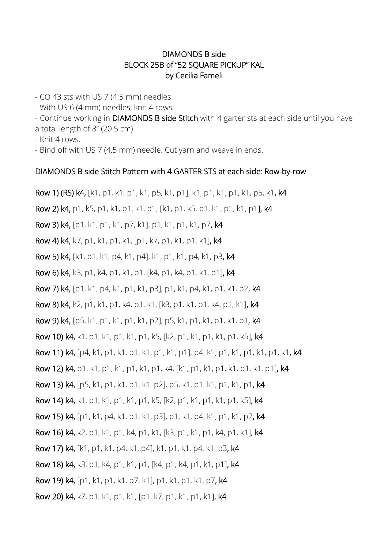## DIAMONDS B side BLOCK 25B of "52 SQUARE PICKUP" KAL by Cecilia Fameli

- CO 43 sts with US 7 (4.5 mm) needles.

- With US 6 (4 mm) needles, knit 4 rows.

- Continue working in DIAMONDS B side Stitch with 4 garter sts at each side until you have a total length of 8'' (20.5 cm).

- Knit 4 rows.

- Bind off with US 7 (4.5 mm) needle. Cut yarn and weave in ends.

## DIAMONDS B side Stitch Pattern with 4 GARTER STS at each side: Row-by-row

Row 1) (RS) k4, [k1, p1, k1, p1, k1, p5, k1, p1], k1, p1, k1, p1, k1, p5, k1, k4 Row 2) k4, p1, k5, p1, k1, p1, k1, p1, [k1, p1, k5, p1, k1, p1, k1, p1], k4 Row 3) k4, [p1, k1, p1, k1, p7, k1], p1, k1, p1, k1, p7, k4 Row 4) k4, k7, p1, k1, p1, k1, [p1, k7, p1, k1, p1, k1], k4 Row 5) k4, [k1, p1, k1, p4, k1, p4], k1, p1, k1, p4, k1, p3, k4 Row 6) k4, k3, p1, k4, p1, k1, p1, [k4, p1, k4, p1, k1, p1], k4 Row 7) k4, [p1, k1, p4, k1, p1, k1, p3], p1, k1, p4, k1, p1, k1, p2, k4 Row 8) k4, k2, p1, k1, p1, k4, p1, k1, [k3, p1, k1, p1, k4, p1, k1], k4 Row 9) k4, [p5, k1, p1, k1, p1, k1, p2], p5, k1, p1, k1, p1, k1, p1, k4 Row 10) k4, k1, p1, k1, p1, k1, p1, k5, [k2, p1, k1, p1, k1, p1, k5], k4 Row 11) k4, [p4, k1, p1, k1, p1, k1, p1, k1, p1], p4, k1, p1, k1, p1, k1, p1, k1, k4 Row 12) k4, p1, k1, p1, k1, p1, k1, p1, k4, [k1, p1, k1, p1, k1, p1, k1, p1], k4 Row 13) k4, [p5, k1, p1, k1, p1, k1, p2], p5, k1, p1, k1, p1, k1, p1, k4 Row 14) k4, k1, p1, k1, p1, k1, p1, k5, [k2, p1, k1, p1, k1, p1, k5], k4 Row 15) k4, [p1, k1, p4, k1, p1, k1, p3], p1, k1, p4, k1, p1, k1, p2, k4 Row 16) k4, k2, p1, k1, p1, k4, p1, k1, [k3, p1, k1, p1, k4, p1, k1], k4 Row 17) k4, [k1, p1, k1, p4, k1, p4], k1, p1, k1, p4, k1, p3, k4 Row 18) k4, k3, p1, k4, p1, k1, p1, [k4, p1, k4, p1, k1, p1], k4 Row 19) k4, [p1, k1, p1, k1, p7, k1], p1, k1, p1, k1, p7, k4 Row 20) k4, k7, p1, k1, p1, k1, [p1, k7, p1, k1, p1, k1], k4